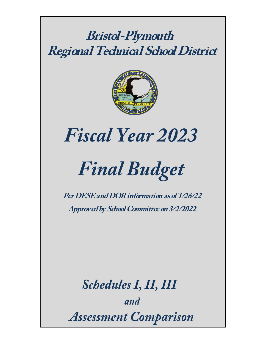## **Bristol-Plymouth Regional Technical School District**



# *Fiscal Year 2023*

# *Final Budget*

**Per DESE and DOR information as of 1/26/22 Approved by School Committee on 3/2/2022**

*Schedules I, II, III and Assessment Comparison*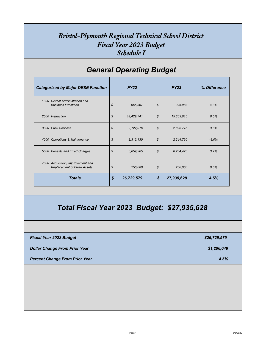### *Bristol-Plymouth Regional Technical School District Fiscal Year 2023 Budget Schedule I*

|                                                                                                                 | <b>Categorized by Major DESE Function</b> | <b>FY22</b> |                            | <b>FY23</b> | % Difference                |
|-----------------------------------------------------------------------------------------------------------------|-------------------------------------------|-------------|----------------------------|-------------|-----------------------------|
| 1000 District Administration and<br><b>Business Functions</b>                                                   | $\boldsymbol{\mathcal{S}}$                | 955,367     | $\boldsymbol{\mathcal{S}}$ | 996,083     | 4.3%                        |
| 2000 Instruction                                                                                                | $\boldsymbol{\mathcal{S}}$                | 14,429,741  | $\boldsymbol{\mathcal{S}}$ | 15,363,615  | 6.5%                        |
| 3000 Pupil Services                                                                                             | $\boldsymbol{\mathcal{S}}$                | 2,722,076   | $\boldsymbol{\mathcal{S}}$ | 2,826,775   | 3.8%                        |
| 4000 Operations & Maintenance                                                                                   | $\boldsymbol{\mathcal{S}}$                | 2,313,130   | $\boldsymbol{\mathcal{S}}$ | 2, 244, 730 | $-3.0\%$                    |
| 5000 Benefits and Fixed Charges                                                                                 | $\boldsymbol{\mathcal{S}}$                | 6,059,265   | $\boldsymbol{\mathcal{S}}$ | 6,254,425   | 3.2%                        |
| 7000 Acquisition, Improvement and<br><b>Replacement of Fixed Assets</b>                                         | $\boldsymbol{\mathcal{S}}$                | 250,000     | $\boldsymbol{\mathcal{S}}$ | 250,000     | $0.0\%$                     |
| <b>Totals</b>                                                                                                   | $\boldsymbol{\mathcal{S}}$                | 26,729,579  | $\boldsymbol{\mathsf{\$}}$ | 27,935,628  | 4.5%                        |
| Total Fiscal Year 2023 Budget: \$27,935,628                                                                     |                                           |             |                            |             |                             |
|                                                                                                                 |                                           |             |                            |             |                             |
|                                                                                                                 |                                           |             |                            |             |                             |
|                                                                                                                 |                                           |             |                            |             | \$26,729,579<br>\$1,206,049 |
| <b>Fiscal Year 2022 Budget</b><br><b>Dollar Change From Prior Year</b><br><b>Percent Change From Prior Year</b> |                                           |             |                            |             | 4.5%                        |
|                                                                                                                 |                                           |             |                            |             |                             |
|                                                                                                                 |                                           |             |                            |             |                             |

## *General Operating Budget*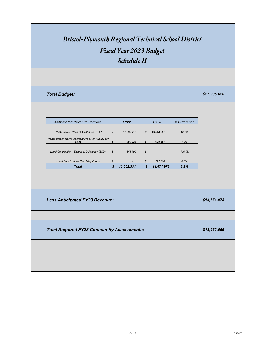| <b>Anticipated Revenue Sources</b>                        |                            | <b>FY22</b> |                            | <b>FY23</b> | % Difference |  |  |  |
|-----------------------------------------------------------|----------------------------|-------------|----------------------------|-------------|--------------|--|--|--|
|                                                           |                            |             |                            |             |              |  |  |  |
| FY23 Chapter 70 as of 1/26/22 per DOR                     | $\boldsymbol{\mathcal{S}}$ | 12,268,415  | $\boldsymbol{\mathcal{S}}$ | 13,524,522  | 10.2%        |  |  |  |
| Transportation Reimbursement Aid as of 1/26/22 per<br>DOR | $\mathcal{S}$              | 950,126     | $\boldsymbol{\mathcal{S}}$ | 1,025,251   | 7.9%         |  |  |  |
| Local Contribution - Excess & Deficiency (E&D)            | $\boldsymbol{\mathcal{S}}$ | 343,790     | $\boldsymbol{\mathcal{S}}$ |             | $-100.0\%$   |  |  |  |
| <b>Local Contribution - Revolving Funds</b>               | $\mathcal{S}$              |             | $\boldsymbol{\mathcal{S}}$ | 122,200     | $0.0\%$      |  |  |  |
| <b>Total</b>                                              | $\boldsymbol{\mathcal{S}}$ | 13,562,331  | $\boldsymbol{\mathcal{S}}$ | 14,671,973  | 8.2%         |  |  |  |



# *Bristol-Plymouth Regional Technical School District*

*Fiscal Year 2023 Budget*

*Schedule II*

| \$27,935,628 |
|--------------|
|--------------|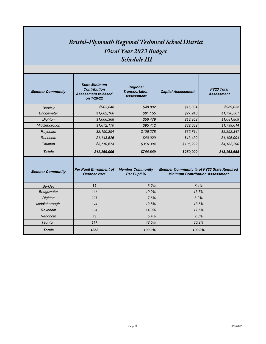#### *Bristol-Plymouth Regional Technical School District Fiscal Year 2023 Budget Schedule III*

| <b>Member Community</b> | <b>State Minimum</b><br><b>Contribution</b><br><b>Assessment released</b><br>on 1/26/22 | <b>Regional</b><br><b>Transportation</b><br><b>Assessment</b> | <b>Capital Assessment</b>                                                                  | <b>FY23 Total</b><br><b>Assessment</b> |  |  |  |  |
|-------------------------|-----------------------------------------------------------------------------------------|---------------------------------------------------------------|--------------------------------------------------------------------------------------------|----------------------------------------|--|--|--|--|
| <b>Berkley</b>          | \$903,848                                                                               | \$48,802                                                      | \$16,384                                                                                   | \$969,035                              |  |  |  |  |
| <b>Bridgewater</b>      | \$1,682,166                                                                             | \$81,155                                                      | \$27,246                                                                                   | \$1,790,567                            |  |  |  |  |
| Dighton                 | \$1,006,368                                                                             | \$56,479                                                      | \$18,962                                                                                   | \$1,081,809                            |  |  |  |  |
| Middleborough           | \$1,672,170                                                                             | \$95,412                                                      | \$32,032                                                                                   | \$1,799,614                            |  |  |  |  |
| Raynham                 | \$2,150,254                                                                             | \$106,378                                                     | \$35,714                                                                                   | \$2,292,347                            |  |  |  |  |
| Rehoboth                | \$1,143,526                                                                             | \$40,029                                                      | \$13,439                                                                                   | \$1,196,994                            |  |  |  |  |
| Taunton                 | \$3,710,674                                                                             | \$316,394                                                     | \$106,222                                                                                  | \$4,133,290                            |  |  |  |  |
|                         |                                                                                         |                                                               |                                                                                            |                                        |  |  |  |  |
| <b>Totals</b>           | \$12,269,006                                                                            | \$744,649                                                     | \$250,000                                                                                  | \$13,263,655                           |  |  |  |  |
| <b>Member Community</b> | <b>Per Pupil Enrollment of</b><br>October 2021                                          | <b>Member Community</b><br><b>Per Pupil %</b>                 | <b>Member Community % of FY23 State Required</b><br><b>Minimum Contribution Assessment</b> |                                        |  |  |  |  |
| <b>Berkley</b>          | 89                                                                                      | 6.6%                                                          | 7.4%                                                                                       |                                        |  |  |  |  |
| <b>Bridgewater</b>      | 148                                                                                     | 10.9%                                                         | 13.7%                                                                                      |                                        |  |  |  |  |
| Dighton                 | 103                                                                                     | 7.6%                                                          | 8.2%                                                                                       |                                        |  |  |  |  |
| Middleborough           | 174                                                                                     | 12.8%                                                         | 13.6%                                                                                      |                                        |  |  |  |  |
| Raynham                 | 194                                                                                     | 14.3%                                                         | 17.5%                                                                                      |                                        |  |  |  |  |
| Rehoboth                | 73                                                                                      | 5.4%                                                          | 9.3%                                                                                       |                                        |  |  |  |  |
| Taunton                 | 577                                                                                     | 42.5%                                                         | 30.2%                                                                                      |                                        |  |  |  |  |